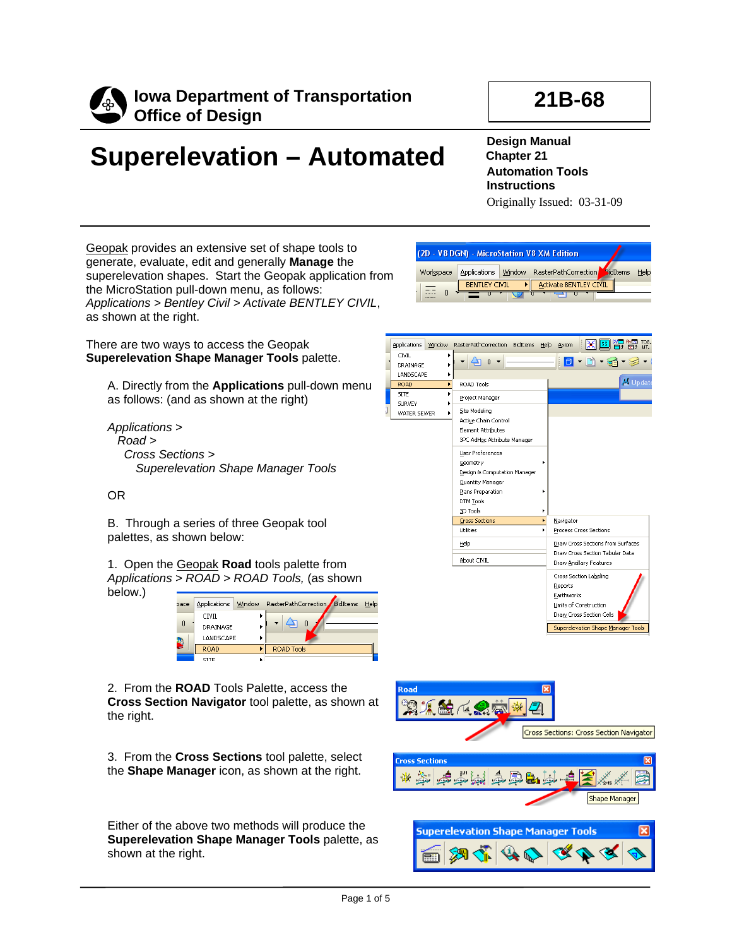

# **21B-68**

# **Superelevation – Automated**

**Design Manual Chapter 21 Automation Tools Instructions**  Originally Issued: 03-31-09

Geopak provides an extensive set of shape tools to generate, evaluate, edit and generally **Manage** the superelevation shapes. Start the Geopak application from the MicroStation pull-down menu, as follows: *Applications > Bentley Civil > Activate BENTLEY CIVIL*, as shown at the right.

There are two ways to access the Geopak **Superelevation Shape Manager Tools** palette.

A. Directly from the **Applications** pull-down menu as follows: (and as shown at the right)

 *Applications > Road > Cross Sections > Superelevation Shape Manager Tools* 

## OR

B. Through a series of three Geopak tool palettes, as shown below:

1. Open the Geopak **Road** tools palette from *Applications > ROAD > ROAD Tools,* (as shown below.)

| pace | Applications                                 | Window RasterPathCorrection BidItems | Help |
|------|----------------------------------------------|--------------------------------------|------|
|      | <b>CIVIL</b><br><b>DRAINAGE</b><br>LANDSCAPE |                                      |      |
| B    | <b>ROAD</b><br><b>STTF</b>                   | <b>ROAD Tools</b>                    |      |

2. From the **ROAD** Tools Palette, access the **Cross Section Navigator** tool palette, as shown at the right.

3. From the **Cross Sections** tool palette, select the **Shape Manager** icon, as shown at the right.

Either of the above two methods will produce the **Superelevation Shape Manager Tools** palette, as shown at the right.









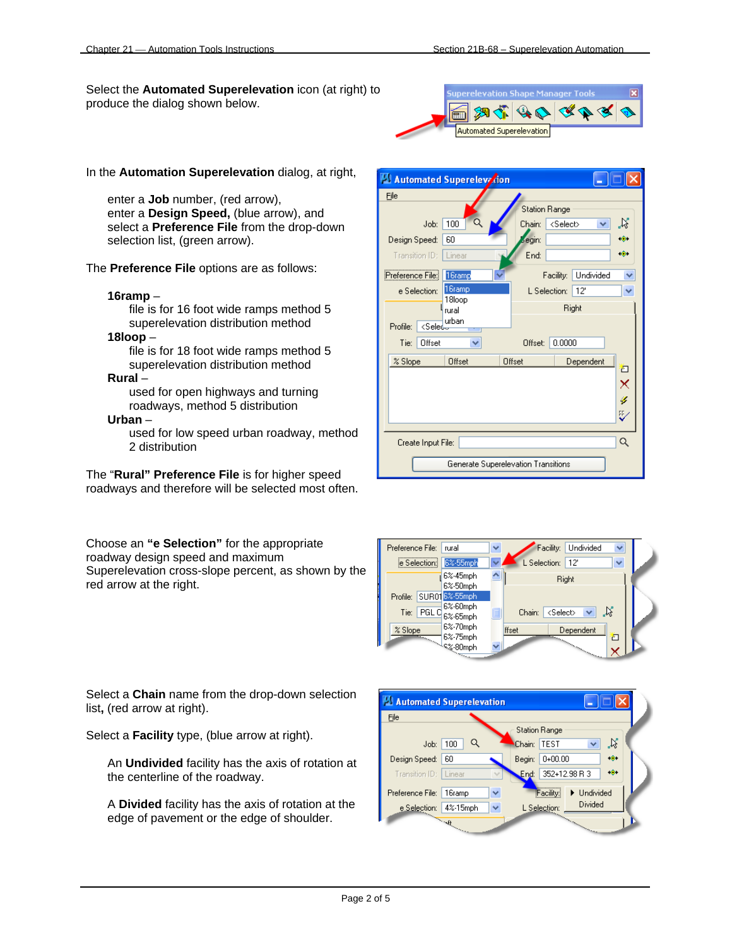Select the **Automated Superelevation** icon (at right) to produce the dialog shown below.



In the **Automation Superelevation** dialog, at right,

enter a **Job** number, (red arrow), enter a **Design Speed,** (blue arrow), and select a **Preference File** from the drop-down selection list, (green arrow).

The **Preference File** options are as follows:

#### **16ramp** –

file is for 16 foot wide ramps method 5 superelevation distribution method

### **18loop** –

file is for 18 foot wide ramps method 5 superelevation distribution method

#### **Rural** –

used for open highways and turning roadways, method 5 distribution

#### **Urban** –

used for low speed urban roadway, method 2 distribution

The "**Rural" Preference File** is for higher speed roadways and therefore will be selected most often.

Choose an **"e Selection"** for the appropriate roadway design speed and maximum Superelevation cross-slope percent, as shown by the red arrow at the right.

Automated Superelevicion n File **Station Range** Job:  $100$ Chain: <Select>  $\mathcal{R}$  $\checkmark$ egin: Design Speed: 60  $\bullet$  $\ddot{\bullet}$ Transition ID: Linear End: Preference File: 16ramp Facility: Undivided  $\overline{\mathbf{v}}$ 16ramp L Selection: 12' e Selection:  $\overline{\mathbf{v}}$ 18loop Right I<sub>rural</sub> Profile: <Selected Tie: Offset × Offset: 0.0000  $\boldsymbol{\mathcal{Z}}$ Slope Offset Offset Dependent 右 × у ₿ Q Create Input File: Generate Superelevation Transitions



Select a **Chain** name from the drop-down selection list**,** (red arrow at right).

Select a **Facility** type, (blue arrow at right).

An **Undivided** facility has the axis of rotation at the centerline of the roadway.

A **Divided** facility has the axis of rotation at the edge of pavement or the edge of shoulder.

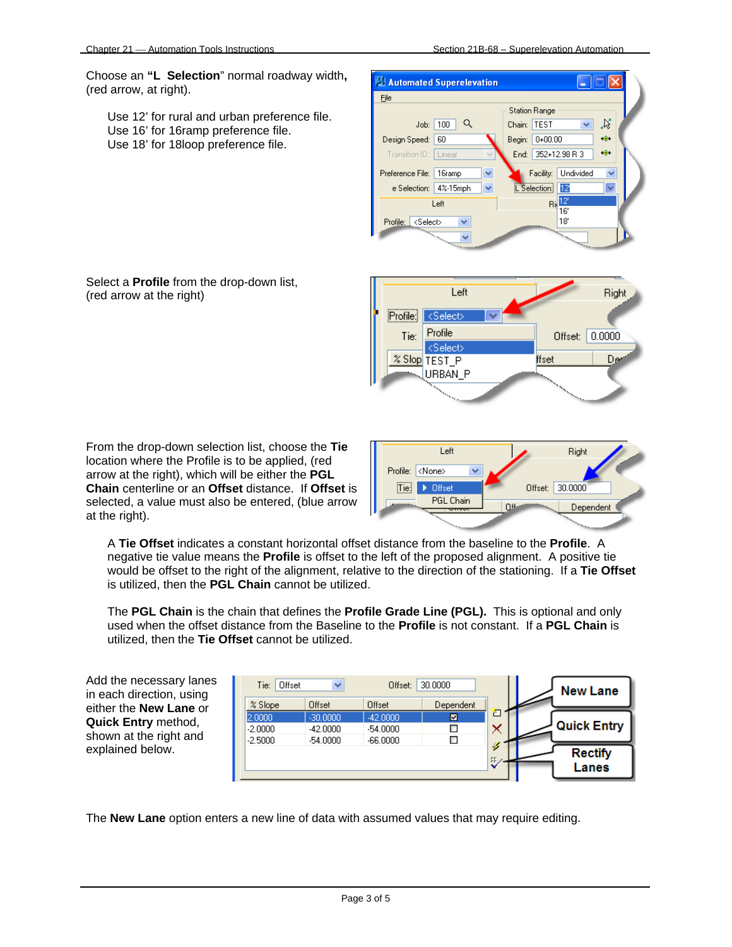Select a **Profile** from the drop-down list,

(red arrow at the right)

Choose an **"L Selection**" normal roadway width**,**  (red arrow, at right).

Use 12' for rural and urban preference file. Use 16' for 16ramp preference file. Use 18' for 18loop preference file.



Left Right  $Profile$ <Select> Profile Offset: 0.0000 Tie: <Select> % Slop TEST P ffset D. URBAN\_P

From the drop-down selection list, choose the **Tie**  location where the Profile is to be applied, (red arrow at the right), which will be either the **PGL Chain** centerline or an **Offset** distance. If **Offset** is selected, a value must also be entered, (blue arrow at the right).



A **Tie Offset** indicates a constant horizontal offset distance from the baseline to the **Profile**. A negative tie value means the **Profile** is offset to the left of the proposed alignment. A positive tie would be offset to the right of the alignment, relative to the direction of the stationing. If a **Tie Offset** is utilized, then the **PGL Chain** cannot be utilized.

The **PGL Chain** is the chain that defines the **Profile Grade Line (PGL).** This is optional and only used when the offset distance from the Baseline to the **Profile** is not constant. If a **PGL Chain** is utilized, then the **Tie Offset** cannot be utilized.

Add the necessary lanes in each direction, using either the **New Lane** or **Quick Entry** method, shown at the right and explained below.

| Tie:<br>Offset | v          | 30,0000<br>Offset: |           |    | <b>New Lane</b> |                    |
|----------------|------------|--------------------|-----------|----|-----------------|--------------------|
| % Slope        | Offset     | Offset             | Dependent |    |                 |                    |
| 2.0000         | $-30,0000$ | $-42,0000$         | ⊠         |    |                 |                    |
| $-2.0000$      | $-42,0000$ | $-54.0000$         | r         |    |                 | <b>Quick Entry</b> |
| $-2.5000$      | $-54,0000$ | $-66,0000$         | m         |    |                 |                    |
|                |            |                    |           | s  |                 | <b>Rectify</b>     |
|                |            |                    |           | FF |                 | Lanes              |

The **New Lane** option enters a new line of data with assumed values that may require editing.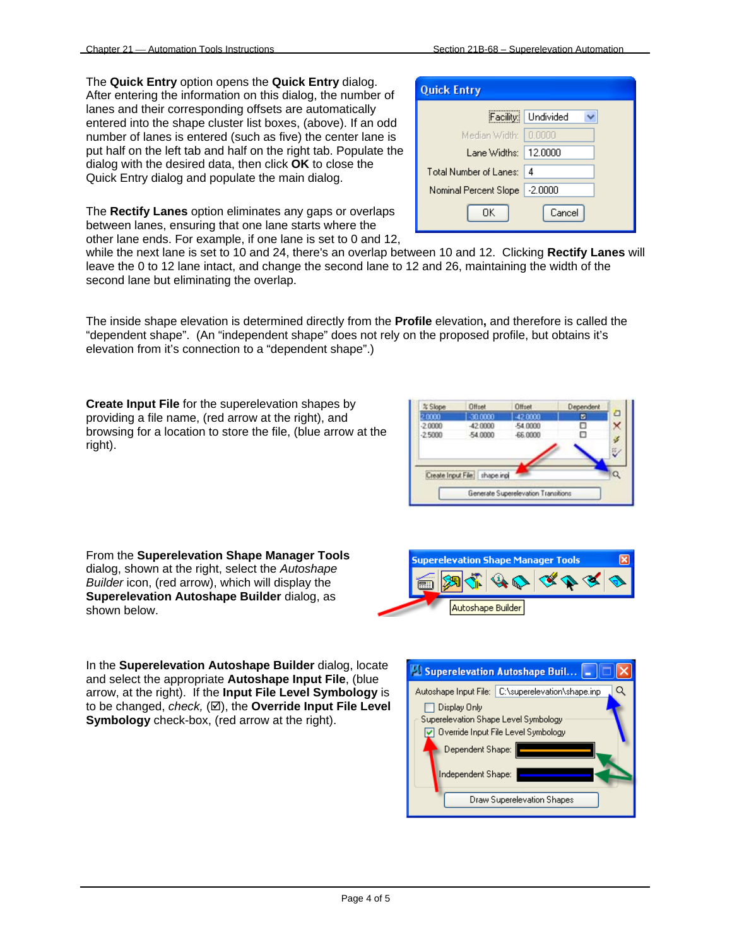The **Quick Entry** option opens the **Quick Entry** dialog. After entering the information on this dialog, the number of lanes and their corresponding offsets are automatically entered into the shape cluster list boxes, (above). If an odd number of lanes is entered (such as five) the center lane is put half on the left tab and half on the right tab. Populate the dialog with the desired data, then click **OK** to close the Quick Entry dialog and populate the main dialog.

The **Rectify Lanes** option eliminates any gaps or overlaps between lanes, ensuring that one lane starts where the other lane ends. For example, if one lane is set to 0 and 12,

while the next lane is set to 10 and 24, there's an overlap between 10 and 12. Clicking **Rectify Lanes** will leave the 0 to 12 lane intact, and change the second lane to 12 and 26, maintaining the width of the second lane but eliminating the overlap.

The inside shape elevation is determined directly from the **Profile** elevation**,** and therefore is called the "dependent shape". (An "independent shape" does not rely on the proposed profile, but obtains it's elevation from it's connection to a "dependent shape".)

**Create Input File** for the superelevation shapes by providing a file name, (red arrow at the right), and browsing for a location to store the file, (blue arrow at the right).



From the **Superelevation Shape Manager Tools**  dialog, shown at the right, select the *Autoshape Builder* icon, (red arrow), which will display the **Superelevation Autoshape Builder** dialog, as shown below.

**Superelevation Shape Manager Tools** ĨΞĐ Autoshape Builder

In the **Superelevation Autoshape Builder** dialog, locate and select the appropriate **Autoshape Input File**, (blue arrow, at the right). If the **Input File Level Symbology** is to be changed, *check*, ( $\boxtimes$ ), the **Override Input File Level Symbology** check-box, (red arrow at the right).



| <b>Quick Entry</b>              |                     |
|---------------------------------|---------------------|
|                                 | Facility: Undivided |
| Median Width: 10,0000           |                     |
| Lane Widths:   12.0000          |                     |
| Total Number of Lanes:          | -4                  |
| Nominal Percent Slope   -2,0000 |                     |
| OΚ                              | Cancel              |